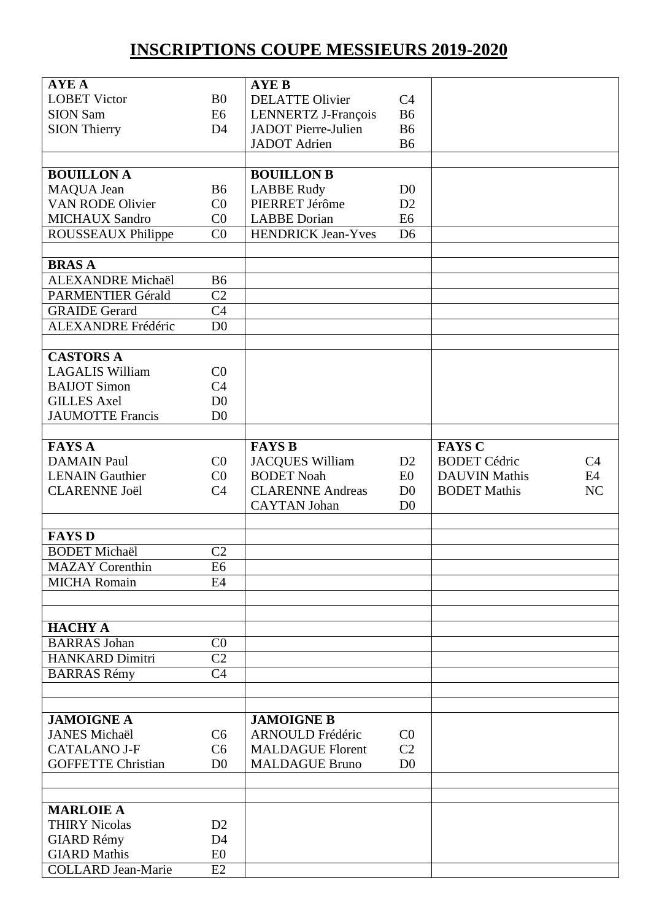## **INSCRIPTIONS COUPE MESSIEURS 2019-2020**

| <b>AYE A</b>              |                 | <b>AYE B</b>               |                |                      |    |
|---------------------------|-----------------|----------------------------|----------------|----------------------|----|
|                           |                 |                            |                |                      |    |
| <b>LOBET Victor</b>       | B <sub>0</sub>  | <b>DELATTE Olivier</b>     | C <sub>4</sub> |                      |    |
| <b>SION Sam</b>           | E6              | LENNERTZ J-François        | <b>B6</b>      |                      |    |
| <b>SION Thierry</b>       | D <sub>4</sub>  | <b>JADOT</b> Pierre-Julien | <b>B6</b>      |                      |    |
|                           |                 | <b>JADOT</b> Adrien        | <b>B6</b>      |                      |    |
|                           |                 |                            |                |                      |    |
| <b>BOUILLONA</b>          |                 | <b>BOUILLON B</b>          |                |                      |    |
| MAQUA Jean                | <b>B6</b>       | <b>LABBE Rudy</b>          | D <sub>0</sub> |                      |    |
| <b>VAN RODE Olivier</b>   | C <sub>0</sub>  | PIERRET Jérôme             | D2             |                      |    |
| <b>MICHAUX Sandro</b>     | C <sub>0</sub>  | <b>LABBE</b> Dorian        | E <sub>6</sub> |                      |    |
| ROUSSEAUX Philippe        | CO              | <b>HENDRICK Jean-Yves</b>  | D <sub>6</sub> |                      |    |
|                           |                 |                            |                |                      |    |
|                           |                 |                            |                |                      |    |
| <b>BRASA</b>              |                 |                            |                |                      |    |
| <b>ALEXANDRE Michaël</b>  | <b>B6</b>       |                            |                |                      |    |
| <b>PARMENTIER Gérald</b>  | C <sub>2</sub>  |                            |                |                      |    |
| <b>GRAIDE Gerard</b>      | $\overline{C4}$ |                            |                |                      |    |
| <b>ALEXANDRE</b> Frédéric | D <sub>0</sub>  |                            |                |                      |    |
|                           |                 |                            |                |                      |    |
| <b>CASTORS A</b>          |                 |                            |                |                      |    |
| <b>LAGALIS William</b>    | CO              |                            |                |                      |    |
| <b>BAIJOT Simon</b>       | C <sub>4</sub>  |                            |                |                      |    |
| <b>GILLES Axel</b>        | D <sub>0</sub>  |                            |                |                      |    |
| <b>JAUMOTTE Francis</b>   | D <sub>0</sub>  |                            |                |                      |    |
|                           |                 |                            |                |                      |    |
| <b>FAYS A</b>             |                 | <b>FAYS B</b>              |                | <b>FAYS C</b>        |    |
| <b>DAMAIN Paul</b>        | C <sub>0</sub>  |                            | D2             | <b>BODET Cédric</b>  | C4 |
|                           |                 | <b>JACQUES William</b>     |                |                      |    |
| <b>LENAIN Gauthier</b>    | C <sub>0</sub>  | <b>BODET</b> Noah          | E <sub>0</sub> | <b>DAUVIN Mathis</b> | E4 |
| <b>CLARENNE Joël</b>      | C <sub>4</sub>  | <b>CLARENNE Andreas</b>    | D <sub>0</sub> | <b>BODET Mathis</b>  | NC |
|                           |                 | <b>CAYTAN Johan</b>        | D <sub>0</sub> |                      |    |
|                           |                 |                            |                |                      |    |
| <b>FAYS D</b>             |                 |                            |                |                      |    |
| <b>BODET Michaël</b>      | C <sub>2</sub>  |                            |                |                      |    |
| <b>MAZAY</b> Corenthin    | E6              |                            |                |                      |    |
| <b>MICHA Romain</b>       | E <sub>4</sub>  |                            |                |                      |    |
|                           |                 |                            |                |                      |    |
|                           |                 |                            |                |                      |    |
| <b>HACHY A</b>            |                 |                            |                |                      |    |
| <b>BARRAS</b> Johan       | C <sub>0</sub>  |                            |                |                      |    |
| <b>HANKARD Dimitri</b>    | C <sub>2</sub>  |                            |                |                      |    |
| <b>BARRAS Rémy</b>        | C <sub>4</sub>  |                            |                |                      |    |
|                           |                 |                            |                |                      |    |
|                           |                 |                            |                |                      |    |
| <b>JAMOIGNE A</b>         |                 | <b>JAMOIGNE B</b>          |                |                      |    |
| <b>JANES Michaël</b>      | C6              | <b>ARNOULD Frédéric</b>    | C <sub>0</sub> |                      |    |
| <b>CATALANO J-F</b>       | C <sub>6</sub>  | <b>MALDAGUE Florent</b>    | C <sub>2</sub> |                      |    |
|                           |                 |                            |                |                      |    |
| <b>GOFFETTE Christian</b> | D <sub>0</sub>  | <b>MALDAGUE Bruno</b>      | D <sub>0</sub> |                      |    |
|                           |                 |                            |                |                      |    |
|                           |                 |                            |                |                      |    |
| <b>MARLOIE A</b>          |                 |                            |                |                      |    |
| <b>THIRY Nicolas</b>      | D2              |                            |                |                      |    |
| <b>GIARD Rémy</b>         | D <sub>4</sub>  |                            |                |                      |    |
| <b>GIARD Mathis</b>       | E <sub>0</sub>  |                            |                |                      |    |
| <b>COLLARD</b> Jean-Marie | E2              |                            |                |                      |    |